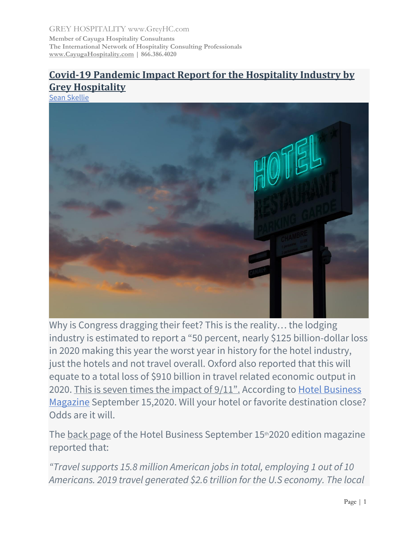### **[Covid-19 Pandemic Impact Report for the Hospitality Industry](https://cayugahospitality.com/sean-skellie/covid-19-impact-report-hospitality-industry-by-grey-hospitality/) by [Grey Hospitality](https://cayugahospitality.com/sean-skellie/covid-19-impact-report-hospitality-industry-by-grey-hospitality/)**

[Sean Skellie](https://cayugahospitality.com/sean-skellie/covid-19-impact-report-hospitality-industry-by-grey-hospitality/)



Why is Congress dragging their feet? This is the reality… the lodging industry is estimated to report a "50 percent, nearly \$125 billion-dollar loss in 2020 making this year the worst year in history for the hotel industry, just the hotels and not travel overall. Oxford also reported that this will equate to a total loss of \$910 billion in travel related economic output in 2020. This is seven times the impact of 9/11". According to [Hotel Business](https://togo.hotelbusiness.com/)  [Magazine](https://togo.hotelbusiness.com/) September 15,2020. Will your hotel or favorite destination close? Odds are it will.

The back page of the Hotel Business September 15<sup>th</sup> 2020 edition magazine reported that:

*"Travel supports 15.8 million American jobs in total, employing 1 out of 10 Americans. 2019 travel generated \$2.6 trillion for the U.S economy. The local*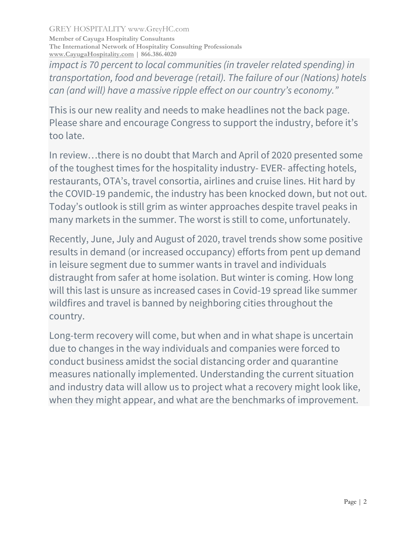*impact is 70 percent to local communities (in traveler related spending) in transportation, food and beverage (retail). The failure of our (Nations) hotels can (and will) have a massive ripple effect on our country's economy."*

This is our new reality and needs to make headlines not the back page. Please share and encourage Congress to support the industry, before it's too late.

In review…there is no doubt that March and April of 2020 presented some of the toughest times for the hospitality industry- EVER- affecting hotels, restaurants, OTA's, travel consortia, airlines and cruise lines. Hit hard by the COVID-19 pandemic, the industry has been knocked down, but not out. Today's outlook is still grim as winter approaches despite travel peaks in many markets in the summer. The worst is still to come, unfortunately.

Recently, June, July and August of 2020, travel trends show some positive results in demand (or increased occupancy) efforts from pent up demand in leisure segment due to summer wants in travel and individuals distraught from safer at home isolation. But winter is coming. How long will this last is unsure as increased cases in Covid-19 spread like summer wildfires and travel is banned by neighboring cities throughout the country.

Long-term recovery will come, but when and in what shape is uncertain due to changes in the way individuals and companies were forced to conduct business amidst the social distancing order and quarantine measures nationally implemented. Understanding the current situation and industry data will allow us to project what a recovery might look like, when they might appear, and what are the benchmarks of improvement.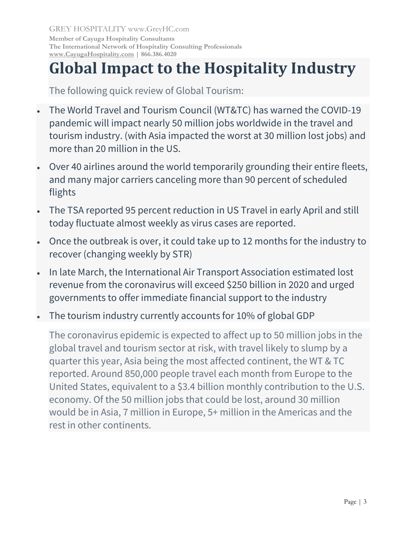# **Global Impact to the Hospitality Industry**

The following quick review of Global Tourism:

- The World Travel and Tourism Council (WT&TC) has warned the COVID-19 pandemic will impact nearly 50 million jobs worldwide in the travel and tourism industry. (with Asia impacted the worst at 30 million lost jobs) and more than 20 million in the US.
- Over 40 airlines around the world temporarily grounding their entire fleets, and many major carriers canceling more than 90 percent of scheduled flights
- The TSA reported 95 percent reduction in US Travel in early April and still today fluctuate almost weekly as virus cases are reported.
- Once the outbreak is over, it could take up to 12 months for the industry to recover (changing weekly by STR)
- In late March, the International Air Transport Association estimated lost revenue from the coronavirus will exceed \$250 billion in 2020 and urged governments to offer immediate financial support to the industry
- The tourism industry currently accounts for 10% of global GDP

The coronavirus epidemic is expected to affect up to 50 million jobs in the global travel and tourism sector at risk, with travel likely to slump by a quarter this year, Asia being the most affected continent, the WT & TC reported. Around 850,000 people travel each month from Europe to the United States, equivalent to a \$3.4 billion monthly contribution to the U.S. economy. Of the 50 million jobs that could be lost, around 30 million would be in Asia, 7 million in Europe, 5+ million in the Americas and the rest in other continents.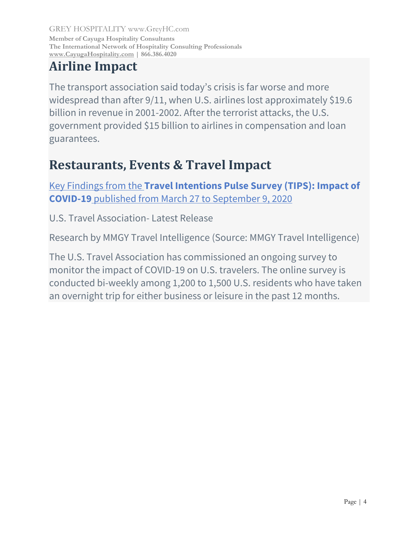# **Airline Impact**

The transport association said today's crisis is far worse and more widespread than after 9/11, when U.S. airlines lost approximately \$19.6 billion in revenue in 2001-2002. After the terrorist attacks, the U.S. government provided \$15 billion to airlines in compensation and loan guarantees.

# **Restaurants, Events & Travel Impact**

Key Findings from the **[Travel Intentions Pulse Survey \(TIPS\): Impact of](https://www.mmgyintel.com/travel-intentions-pulse-survey-tips-impact-covid-19)  COVID-19** [published from March 27 to September 9, 2020](https://www.mmgyintel.com/travel-intentions-pulse-survey-tips-impact-covid-19)

U.S. Travel Association- Latest Release

Research by MMGY Travel Intelligence (Source: MMGY Travel Intelligence)

The U.S. Travel Association has commissioned an ongoing survey to monitor the impact of COVID-19 on U.S. travelers. The online survey is conducted bi-weekly among 1,200 to 1,500 U.S. residents who have taken an overnight trip for either business or leisure in the past 12 months.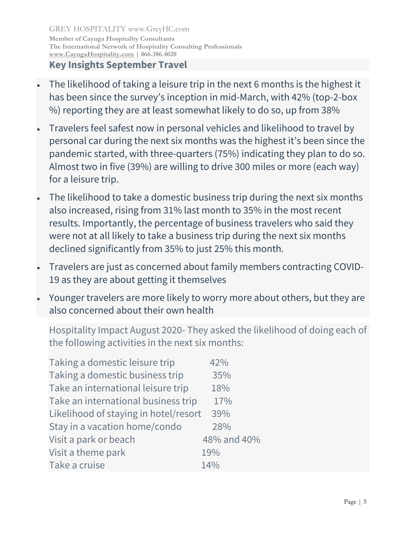- The likelihood of taking a leisure trip in the next 6 months is the highest it has been since the survey's inception in mid-March, with 42% (top-2-box %) reporting they are at least somewhat likely to do so, up from 38%
- Travelers feel safest now in personal vehicles and likelihood to travel by personal car during the next six months was the highest it's been since the pandemic started, with three-quarters (75%) indicating they plan to do so. Almost two in five (39%) are willing to drive 300 miles or more (each way) for a leisure trip.
- The likelihood to take a domestic business trip during the next six months also increased, rising from 31% last month to 35% in the most recent results. Importantly, the percentage of business travelers who said they were not at all likely to take a business trip during the next six months declined significantly from 35% to just 25% this month.
- Travelers are just as concerned about family members contracting COVID-19 as they are about getting it themselves
- Younger travelers are more likely to worry more about others, but they are also concerned about their own health

Hospitality Impact August 2020- They asked the likelihood of doing each of the following activities in the next six months:

| Taking a domestic leisure trip        | 42%         |
|---------------------------------------|-------------|
| Taking a domestic business trip       | 35%         |
| Take an international leisure trip    | 18%         |
| Take an international business trip   | 17%         |
| Likelihood of staying in hotel/resort | 39%         |
| Stay in a vacation home/condo         | 28%         |
| Visit a park or beach                 | 48% and 40% |
| Visit a theme park                    | 19%         |
| Take a cruise                         | 14%         |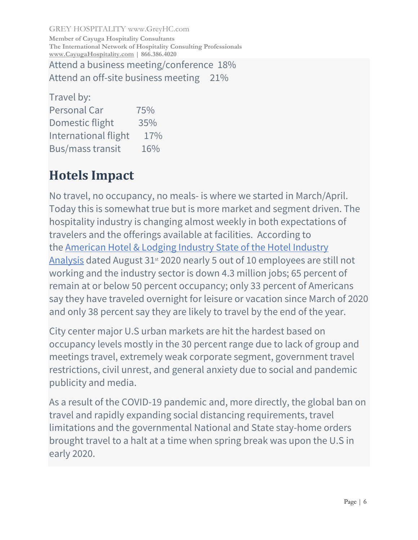Attend a business meeting/conference 18% Attend an off-site business meeting 21%

Travel by: Personal Car 75% Domestic flight 35% International flight 17% Bus/mass transit 16%

# **Hotels Impact**

No travel, no occupancy, no meals- is where we started in March/April. Today this is somewhat true but is more market and segment driven. The hospitality industry is changing almost weekly in both expectations of travelers and the offerings available at facilities. According to the [American Hotel & Lodging Industry State of the Hotel Industry](https://www.ahla.com/sites/default/files/State%20of%20the%20Industry.pdf)  [Analysis](https://www.ahla.com/sites/default/files/State%20of%20the%20Industry.pdf) dated August 31<sup>st</sup> 2020 nearly 5 out of 10 employees are still not working and the industry sector is down 4.3 million jobs; 65 percent of remain at or below 50 percent occupancy; only 33 percent of Americans say they have traveled overnight for leisure or vacation since March of 2020 and only 38 percent say they are likely to travel by the end of the year.

City center major U.S urban markets are hit the hardest based on occupancy levels mostly in the 30 percent range due to lack of group and meetings travel, extremely weak corporate segment, government travel restrictions, civil unrest, and general anxiety due to social and pandemic publicity and media.

As a result of the COVID-19 pandemic and, more directly, the global ban on travel and rapidly expanding social distancing requirements, travel limitations and the governmental National and State stay-home orders brought travel to a halt at a time when spring break was upon the U.S in early 2020.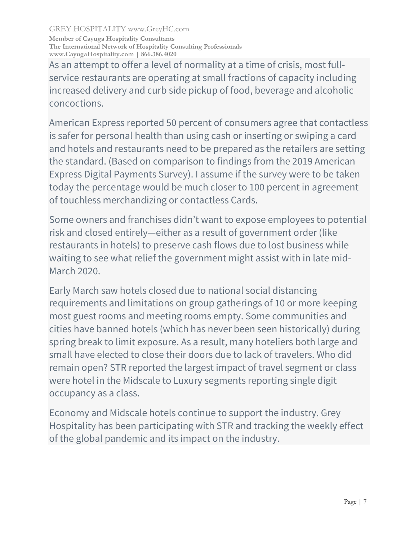As an attempt to offer a level of normality at a time of crisis, most fullservice restaurants are operating at small fractions of capacity including increased delivery and curb side pickup of food, beverage and alcoholic concoctions.

American Express reported 50 percent of consumers agree that contactless is safer for personal health than using cash or inserting or swiping a card and hotels and restaurants need to be prepared as the retailers are setting the standard. (Based on comparison to findings from the 2019 American Express Digital Payments Survey). I assume if the survey were to be taken today the percentage would be much closer to 100 percent in agreement of touchless merchandizing or contactless Cards.

Some owners and franchises didn't want to expose employees to potential risk and closed entirely—either as a result of government order (like restaurants in hotels) to preserve cash flows due to lost business while waiting to see what relief the government might assist with in late mid-March 2020.

Early March saw hotels closed due to national social distancing requirements and limitations on group gatherings of 10 or more keeping most guest rooms and meeting rooms empty. Some communities and cities have banned hotels (which has never been seen historically) during spring break to limit exposure. As a result, many hoteliers both large and small have elected to close their doors due to lack of travelers. Who did remain open? STR reported the largest impact of travel segment or class were hotel in the Midscale to Luxury segments reporting single digit occupancy as a class.

Economy and Midscale hotels continue to support the industry. Grey Hospitality has been participating with STR and tracking the weekly effect of the global pandemic and its impact on the industry.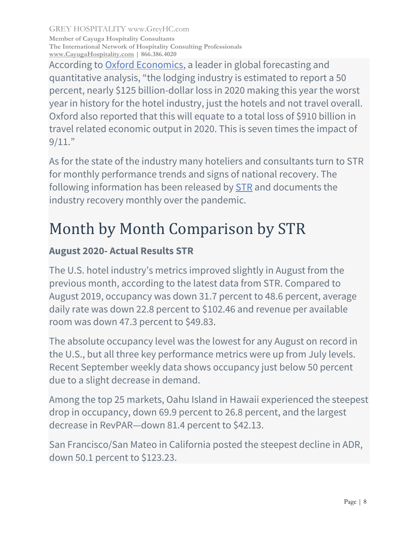According to [Oxford Economics,](https://www.ahla.com/oxford-economics-study-0) a leader in global forecasting and quantitative analysis, "the lodging industry is estimated to report a 50 percent, nearly \$125 billion-dollar loss in 2020 making this year the worst year in history for the hotel industry, just the hotels and not travel overall. Oxford also reported that this will equate to a total loss of \$910 billion in travel related economic output in 2020. This is seven times the impact of 9/11."

As for the state of the industry many hoteliers and consultants turn to STR for monthly performance trends and signs of national recovery. The following information has been released by [STR](https://str.com/data-insights/news/press-releases) and documents the industry recovery monthly over the pandemic.

# Month by Month Comparison by STR

## **August 2020- Actual Results STR**

The U.S. hotel industry's metrics improved slightly in August from the previous month, according to the latest data from STR. Compared to August 2019, occupancy was down 31.7 percent to 48.6 percent, average daily rate was down 22.8 percent to \$102.46 and revenue per available room was down 47.3 percent to \$49.83.

The absolute occupancy level was the lowest for any August on record in the U.S., but all three key performance metrics were up from July levels. Recent September weekly data shows occupancy just below 50 percent due to a slight decrease in demand.

Among the top 25 markets, Oahu Island in Hawaii experienced the steepest drop in occupancy, down 69.9 percent to 26.8 percent, and the largest decrease in RevPAR—down 81.4 percent to \$42.13.

San Francisco/San Mateo in California posted the steepest decline in ADR, down 50.1 percent to \$123.23.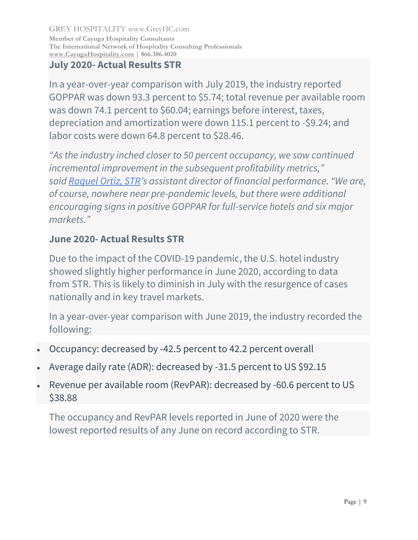#### **July 2020- Actual Results STR**

In a year-over-year comparison with July 2019, the industry reported GOPPAR was down 93.3 percent to \$5.74; total revenue per available room was down 74.1 percent to \$60.04; earnings before interest, taxes, depreciation and amortization were down 115.1 percent to -\$9.24; and labor costs were down 64.8 percent to \$28.46.

*"As the industry inched closer to 50 percent occupancy, we saw continued incremental improvement in the subsequent profitability metrics," said [Raquel Ortiz, STR](https://www.hotelmanagement.net/operate/str-u-s-hotels-reported-positive-goppar-july)'s assistant director of financial performance. "We are, of course, nowhere near pre-pandemic levels, but there were additional encouraging signs in positive GOPPAR for full-service hotels and six major markets."*

#### **June 2020- Actual Results STR**

Due to the impact of the COVID-19 pandemic, the U.S. hotel industry showed slightly higher performance in June 2020, according to data from STR. This is likely to diminish in July with the resurgence of cases nationally and in key travel markets.

In a year-over-year comparison with June 2019, the industry recorded the following:

- Occupancy: decreased by -42.5 percent to 42.2 percent overall
- Average daily rate (ADR): decreased by -31.5 percent to US \$92.15
- Revenue per available room (RevPAR): decreased by -60.6 percent to US \$38.88

The occupancy and RevPAR levels reported in June of 2020 were the lowest reported results of any June on record according to STR.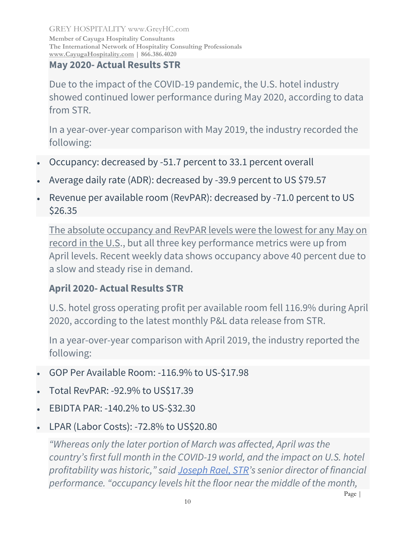#### **May 2020- Actual Results STR**

Due to the impact of the COVID-19 pandemic, the U.S. hotel industry showed continued lower performance during May 2020, according to data from STR.

In a year-over-year comparison with May 2019, the industry recorded the following:

- Occupancy: decreased by -51.7 percent to 33.1 percent overall
- Average daily rate (ADR): decreased by -39.9 percent to US \$79.57
- Revenue per available room (RevPAR): decreased by -71.0 percent to US \$26.35

The absolute occupancy and RevPAR levels were the lowest for any May on record in the U.S., but all three key performance metrics were up from April levels. Recent weekly data shows occupancy above 40 percent due to a slow and steady rise in demand.

## **April 2020- Actual Results STR**

U.S. hotel gross operating profit per available room fell 116.9% during April 2020, according to the latest monthly P&L data release from STR.

In a year-over-year comparison with April 2019, the industry reported the following:

- GOP Per Available Room: -116.9% to US-\$17.98
- Total RevPAR: -92.9% to US\$17.39
- EBIDTA PAR: -140.2% to US-\$32.30
- LPAR (Labor Costs): -72.8% to US\$20.80

*"Whereas only the later portion of March was affected, April was the country's first full month in the COVID-19 world, and the impact on U.S. hotel profitability was historic," said [Joseph Rael, STR](https://str.com/press-release/str-us-hotel-profits-fell-116-point-9-in-april)'s senior director of financial performance. "occupancy levels hit the floor near the middle of the month,* 

Page |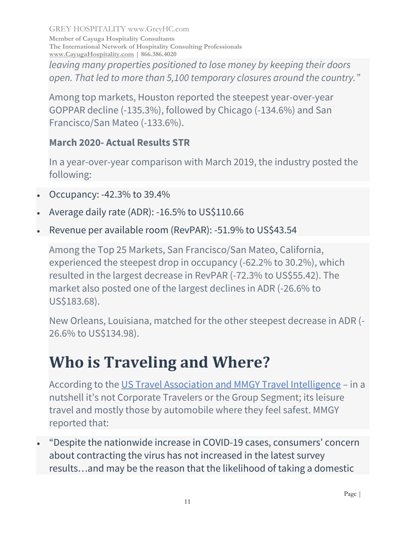*leaving many properties positioned to lose money by keeping their doors open. That led to more than 5,100 temporary closures around the country."*

Among top markets, Houston reported the steepest year-over-year GOPPAR decline (-135.3%), followed by Chicago (-134.6%) and San Francisco/San Mateo (-133.6%).

### **March 2020- Actual Results STR**

In a year-over-year comparison with March 2019, the industry posted the following:

- Occupancy: -42.3% to 39.4%
- Average daily rate (ADR): -16.5% to US\$110.66
- Revenue per available room (RevPAR): -51.9% to US\$43.54

Among the Top 25 Markets, San Francisco/San Mateo, California, experienced the steepest drop in occupancy (-62.2% to 30.2%), which resulted in the largest decrease in RevPAR (-72.3% to US\$55.42). The market also posted one of the largest declines in ADR (-26.6% to US\$183.68).

New Orleans, Louisiana, matched for the other steepest decrease in ADR (- 26.6% to US\$134.98).

# **Who is Traveling and Where?**

According to the [US Travel Association and MMGY Travel Intelligence](https://www.ustravel.org/sites/default/files/media_root/document/2020%20TIPS%20Wave%206%20-%20Summary%20Final.pdf?utm_source=MagnetMail&utm_medium=email&utm_content=7%2E16%2E20%20%2D%202020%20COVID%20Research%20Weekly&utm_campaign=ust) – in a nutshell it's not Corporate Travelers or the Group Segment; its leisure travel and mostly those by automobile where they feel safest. MMGY reported that:

• "Despite the nationwide increase in COVID-19 cases, consumers' concern about contracting the virus has not increased in the latest survey results…and may be the reason that the likelihood of taking a domestic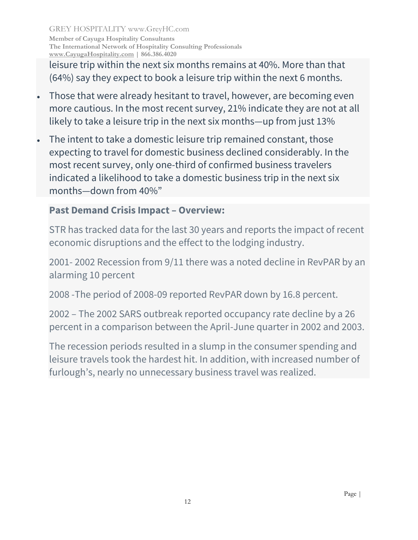leisure trip within the next six months remains at 40%. More than that (64%) say they expect to book a leisure trip within the next 6 months.

- Those that were already hesitant to travel, however, are becoming even more cautious. In the most recent survey, 21% indicate they are not at all likely to take a leisure trip in the next six months—up from just 13%
- The intent to take a domestic leisure trip remained constant, those expecting to travel for domestic business declined considerably. In the most recent survey, only one-third of confirmed business travelers indicated a likelihood to take a domestic business trip in the next six months—down from 40%"

#### **Past Demand Crisis Impact – Overview:**

STR has tracked data for the last 30 years and reports the impact of recent economic disruptions and the effect to the lodging industry.

2001- 2002 Recession from 9/11 there was a noted decline in RevPAR by an alarming 10 percent

2008 -The period of 2008-09 reported RevPAR down by 16.8 percent.

2002 – The 2002 SARS outbreak reported occupancy rate decline by a 26 percent in a comparison between the April-June quarter in 2002 and 2003.

The recession periods resulted in a slump in the consumer spending and leisure travels took the hardest hit. In addition, with increased number of furlough's, nearly no unnecessary business travel was realized.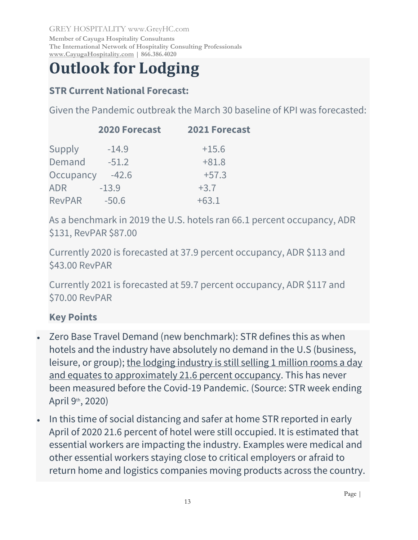# **Outlook for Lodging**

## **STR Current National Forecast:**

Given the Pandemic outbreak the March 30 baseline of KPI was forecasted:

|               | <b>2020 Forecast</b> | <b>2021 Forecast</b> |
|---------------|----------------------|----------------------|
| Supply        | $-14.9$              | $+15.6$              |
| Demand        | $-51.2$              | $+81.8$              |
| Occupancy     | $-42.6$              | $+57.3$              |
| <b>ADR</b>    | $-13.9$              | $+3.7$               |
| <b>RevPAR</b> | $-50.6$              | $+63.1$              |

As a benchmark in 2019 the U.S. hotels ran 66.1 percent occupancy, ADR \$131, RevPAR \$87.00

Currently 2020 is forecasted at 37.9 percent occupancy, ADR \$113 and \$43.00 RevPAR

Currently 2021 is forecasted at 59.7 percent occupancy, ADR \$117 and \$70.00 RevPAR

## **Key Points**

- Zero Base Travel Demand (new benchmark): STR defines this as when hotels and the industry have absolutely no demand in the U.S (business, leisure, or group); the lodging industry is still selling 1 million rooms a day and equates to approximately 21.6 percent occupancy. This has never been measured before the Covid-19 Pandemic. (Source: STR week ending April 9th, 2020)
- In this time of social distancing and safer at home STR reported in early April of 2020 21.6 percent of hotel were still occupied. It is estimated that essential workers are impacting the industry. Examples were medical and other essential workers staying close to critical employers or afraid to return home and logistics companies moving products across the country.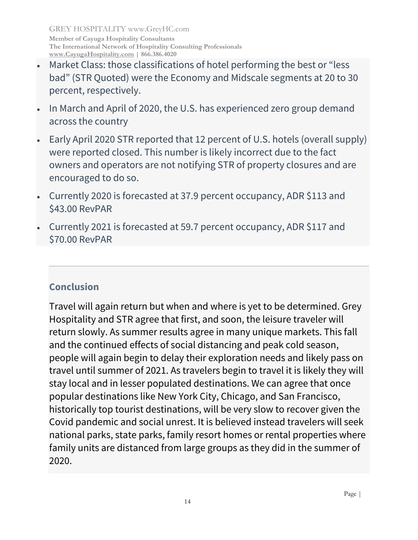- Market Class: those classifications of hotel performing the best or "less bad" (STR Quoted) were the Economy and Midscale segments at 20 to 30 percent, respectively.
- In March and April of 2020, the U.S. has experienced zero group demand across the country
- Early April 2020 STR reported that 12 percent of U.S. hotels (overall supply) were reported closed. This number is likely incorrect due to the fact owners and operators are not notifying STR of property closures and are encouraged to do so.
- Currently 2020 is forecasted at 37.9 percent occupancy, ADR \$113 and \$43.00 RevPAR
- Currently 2021 is forecasted at 59.7 percent occupancy, ADR \$117 and \$70.00 RevPAR

### **Conclusion**

Travel will again return but when and where is yet to be determined. Grey Hospitality and STR agree that first, and soon, the leisure traveler will return slowly. As summer results agree in many unique markets. This fall and the continued effects of social distancing and peak cold season, people will again begin to delay their exploration needs and likely pass on travel until summer of 2021. As travelers begin to travel it is likely they will stay local and in lesser populated destinations. We can agree that once popular destinations like New York City, Chicago, and San Francisco, historically top tourist destinations, will be very slow to recover given the Covid pandemic and social unrest. It is believed instead travelers will seek national parks, state parks, family resort homes or rental properties where family units are distanced from large groups as they did in the summer of 2020.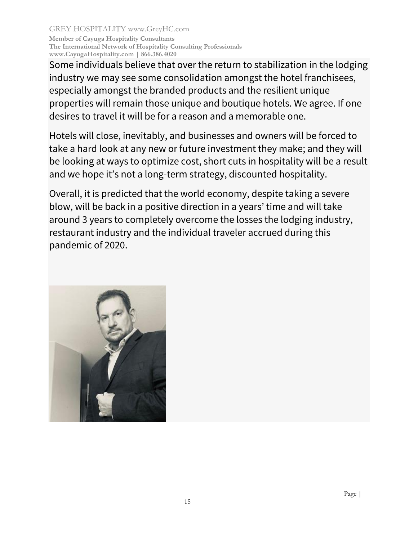Some individuals believe that over the return to stabilization in the lodging industry we may see some consolidation amongst the hotel franchisees, especially amongst the branded products and the resilient unique properties will remain those unique and boutique hotels. We agree. If one desires to travel it will be for a reason and a memorable one.

Hotels will close, inevitably, and businesses and owners will be forced to take a hard look at any new or future investment they make; and they will be looking at ways to optimize cost, short cuts in hospitality will be a result and we hope it's not a long-term strategy, discounted hospitality.

Overall, it is predicted that the world economy, despite taking a severe blow, will be back in a positive direction in a years' time and will take around 3 years to completely overcome the losses the lodging industry, restaurant industry and the individual traveler accrued during this pandemic of 2020.